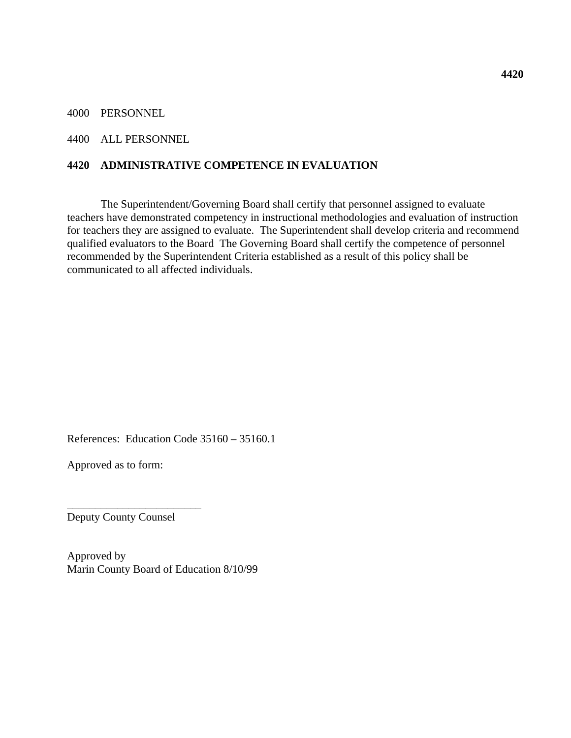4000 PERSONNEL

#### 4400 ALL PERSONNEL

### **4420 ADMINISTRATIVE COMPETENCE IN EVALUATION**

 The Superintendent/Governing Board shall certify that personnel assigned to evaluate teachers have demonstrated competency in instructional methodologies and evaluation of instruction for teachers they are assigned to evaluate. The Superintendent shall develop criteria and recommend qualified evaluators to the Board The Governing Board shall certify the competence of personnel recommended by the Superintendent Criteria established as a result of this policy shall be communicated to all affected individuals.

References: Education Code 35160 – 35160.1

Approved as to form:

Deputy County Counsel

\_\_\_\_\_\_\_\_\_\_\_\_\_\_\_\_\_\_\_\_\_\_\_\_

Approved by Marin County Board of Education 8/10/99